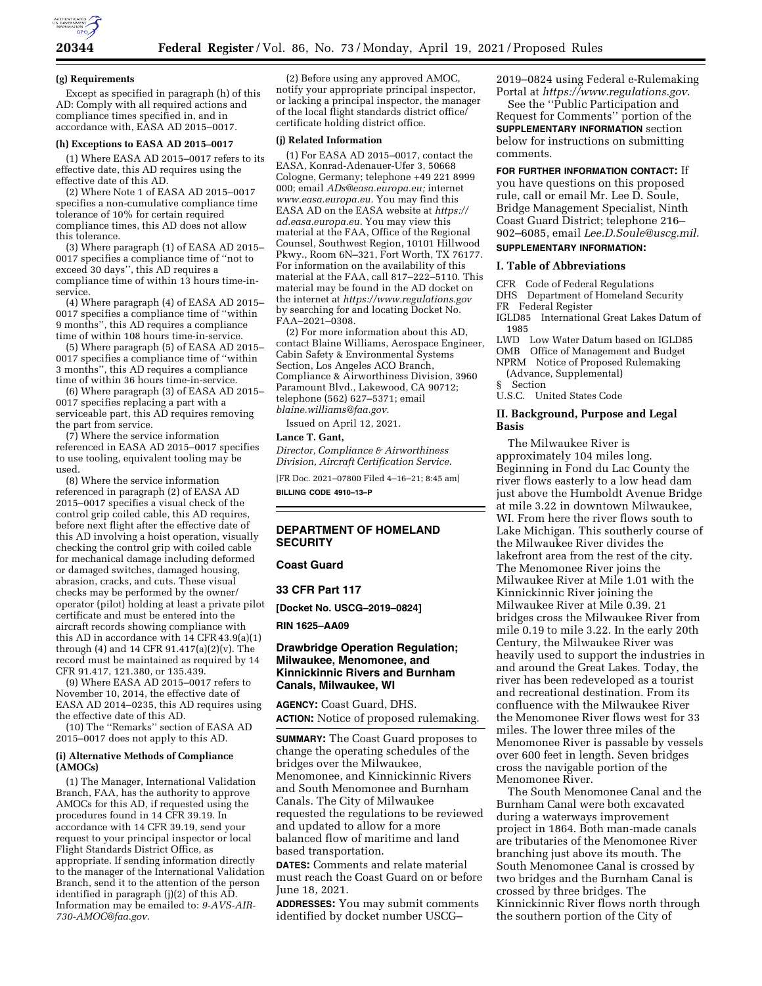

#### **(g) Requirements**

Except as specified in paragraph (h) of this AD: Comply with all required actions and compliance times specified in, and in accordance with, EASA AD 2015–0017.

#### **(h) Exceptions to EASA AD 2015–0017**

(1) Where EASA AD 2015–0017 refers to its effective date, this AD requires using the effective date of this AD.

(2) Where Note 1 of EASA AD 2015–0017 specifies a non-cumulative compliance time tolerance of 10% for certain required compliance times, this AD does not allow this tolerance.

(3) Where paragraph (1) of EASA AD 2015– 0017 specifies a compliance time of ''not to exceed 30 days'', this AD requires a compliance time of within 13 hours time-inservice.

(4) Where paragraph (4) of EASA AD 2015– 0017 specifies a compliance time of ''within 9 months'', this AD requires a compliance time of within 108 hours time-in-service.

(5) Where paragraph (5) of EASA AD 2015– 0017 specifies a compliance time of ''within 3 months'', this AD requires a compliance time of within 36 hours time-in-service.

(6) Where paragraph (3) of EASA AD 2015– 0017 specifies replacing a part with a serviceable part, this AD requires removing the part from service.

(7) Where the service information referenced in EASA AD 2015–0017 specifies to use tooling, equivalent tooling may be used.

(8) Where the service information referenced in paragraph (2) of EASA AD 2015–0017 specifies a visual check of the control grip coiled cable, this AD requires, before next flight after the effective date of this AD involving a hoist operation, visually checking the control grip with coiled cable for mechanical damage including deformed or damaged switches, damaged housing, abrasion, cracks, and cuts. These visual checks may be performed by the owner/ operator (pilot) holding at least a private pilot certificate and must be entered into the aircraft records showing compliance with this AD in accordance with 14 CFR 43.9(a)(1) through (4) and 14 CFR 91.417(a)(2)(v). The record must be maintained as required by 14 CFR 91.417, 121.380, or 135.439.

(9) Where EASA AD 2015–0017 refers to November 10, 2014, the effective date of EASA AD 2014–0235, this AD requires using the effective date of this AD.

(10) The ''Remarks'' section of EASA AD 2015–0017 does not apply to this AD.

#### **(i) Alternative Methods of Compliance (AMOCs)**

(1) The Manager, International Validation Branch, FAA, has the authority to approve AMOCs for this AD, if requested using the procedures found in 14 CFR 39.19. In accordance with 14 CFR 39.19, send your request to your principal inspector or local Flight Standards District Office, as appropriate. If sending information directly to the manager of the International Validation Branch, send it to the attention of the person identified in paragraph (j)(2) of this AD. Information may be emailed to: *[9-AVS-AIR-](mailto:9-AVS-AIR-730-AMOC@faa.gov)[730-AMOC@faa.gov.](mailto:9-AVS-AIR-730-AMOC@faa.gov)* 

(2) Before using any approved AMOC, notify your appropriate principal inspector, or lacking a principal inspector, the manager of the local flight standards district office/ certificate holding district office.

#### **(j) Related Information**

(1) For EASA AD 2015–0017, contact the EASA, Konrad-Adenauer-Ufer 3, 50668 Cologne, Germany; telephone +49 221 8999 000; email *[ADs@easa.europa.eu;](mailto:ADs@easa.europa.eu)* internet *[www.easa.europa.eu.](http://www.easa.europa.eu)* You may find this EASA AD on the EASA website at *[https://](https://ad.easa.europa.eu) [ad.easa.europa.eu.](https://ad.easa.europa.eu)* You may view this material at the FAA, Office of the Regional Counsel, Southwest Region, 10101 Hillwood Pkwy., Room 6N–321, Fort Worth, TX 76177. For information on the availability of this material at the FAA, call 817–222–5110. This material may be found in the AD docket on the internet at *<https://www.regulations.gov>*  by searching for and locating Docket No. FAA–2021–0308.

(2) For more information about this AD, contact Blaine Williams, Aerospace Engineer, Cabin Safety & Environmental Systems Section, Los Angeles ACO Branch, Compliance & Airworthiness Division, 3960 Paramount Blvd., Lakewood, CA 90712; telephone (562) 627–5371; email *[blaine.williams@faa.gov.](mailto:blaine.williams@faa.gov)* 

Issued on April 12, 2021.

### **Lance T. Gant,**

*Director, Compliance & Airworthiness Division, Aircraft Certification Service.* 

[FR Doc. 2021–07800 Filed 4–16–21; 8:45 am] **BILLING CODE 4910–13–P** 

## **DEPARTMENT OF HOMELAND SECURITY**

#### **Coast Guard**

**33 CFR Part 117** 

**[Docket No. USCG–2019–0824]** 

**RIN 1625–AA09** 

## **Drawbridge Operation Regulation; Milwaukee, Menomonee, and Kinnickinnic Rivers and Burnham Canals, Milwaukee, WI**

**AGENCY:** Coast Guard, DHS. **ACTION:** Notice of proposed rulemaking.

**SUMMARY:** The Coast Guard proposes to change the operating schedules of the bridges over the Milwaukee, Menomonee, and Kinnickinnic Rivers and South Menomonee and Burnham Canals. The City of Milwaukee requested the regulations to be reviewed and updated to allow for a more balanced flow of maritime and land based transportation.

**DATES:** Comments and relate material must reach the Coast Guard on or before June 18, 2021.

**ADDRESSES:** You may submit comments identified by docket number USCG–

2019–0824 using Federal e-Rulemaking Portal at *<https://www.regulations.gov>*.

See the ''Public Participation and Request for Comments'' portion of the **SUPPLEMENTARY INFORMATION** section below for instructions on submitting comments.

# **FOR FURTHER INFORMATION CONTACT:** If you have questions on this proposed

rule, call or email Mr. Lee D. Soule, Bridge Management Specialist, Ninth Coast Guard District; telephone 216– 902–6085, email *[Lee.D.Soule@uscg.mil](mailto:Lee.D.Soule@uscg.mil)*. **SUPPLEMENTARY INFORMATION:** 

#### **I. Table of Abbreviations**

CFR Code of Federal Regulations DHS Department of Homeland Security FR Federal Register

IGLD85 International Great Lakes Datum of 1985

LWD Low Water Datum based on IGLD85 OMB Office of Management and Budget

NPRM Notice of Proposed Rulemaking (Advance, Supplemental)

§ Section

U.S.C. United States Code

## **II. Background, Purpose and Legal Basis**

The Milwaukee River is approximately 104 miles long. Beginning in Fond du Lac County the river flows easterly to a low head dam just above the Humboldt Avenue Bridge at mile 3.22 in downtown Milwaukee, WI. From here the river flows south to Lake Michigan. This southerly course of the Milwaukee River divides the lakefront area from the rest of the city. The Menomonee River joins the Milwaukee River at Mile 1.01 with the Kinnickinnic River joining the Milwaukee River at Mile 0.39. 21 bridges cross the Milwaukee River from mile 0.19 to mile 3.22. In the early 20th Century, the Milwaukee River was heavily used to support the industries in and around the Great Lakes. Today, the river has been redeveloped as a tourist and recreational destination. From its confluence with the Milwaukee River the Menomonee River flows west for 33 miles. The lower three miles of the Menomonee River is passable by vessels over 600 feet in length. Seven bridges cross the navigable portion of the Menomonee River.

The South Menomonee Canal and the Burnham Canal were both excavated during a waterways improvement project in 1864. Both man-made canals are tributaries of the Menomonee River branching just above its mouth. The South Menomonee Canal is crossed by two bridges and the Burnham Canal is crossed by three bridges. The Kinnickinnic River flows north through the southern portion of the City of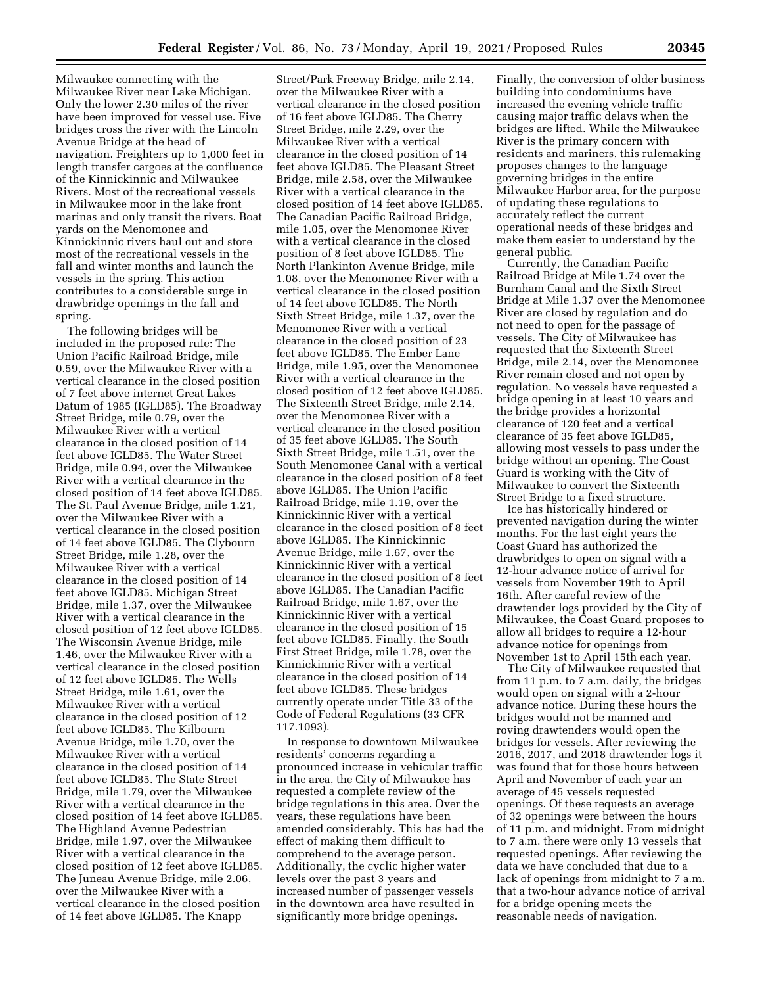Milwaukee connecting with the Milwaukee River near Lake Michigan. Only the lower 2.30 miles of the river have been improved for vessel use. Five bridges cross the river with the Lincoln Avenue Bridge at the head of navigation. Freighters up to 1,000 feet in length transfer cargoes at the confluence of the Kinnickinnic and Milwaukee Rivers. Most of the recreational vessels in Milwaukee moor in the lake front marinas and only transit the rivers. Boat yards on the Menomonee and Kinnickinnic rivers haul out and store most of the recreational vessels in the fall and winter months and launch the vessels in the spring. This action contributes to a considerable surge in drawbridge openings in the fall and spring.

The following bridges will be included in the proposed rule: The Union Pacific Railroad Bridge, mile 0.59, over the Milwaukee River with a vertical clearance in the closed position of 7 feet above internet Great Lakes Datum of 1985 (IGLD85). The Broadway Street Bridge, mile 0.79, over the Milwaukee River with a vertical clearance in the closed position of 14 feet above IGLD85. The Water Street Bridge, mile 0.94, over the Milwaukee River with a vertical clearance in the closed position of 14 feet above IGLD85. The St. Paul Avenue Bridge, mile 1.21, over the Milwaukee River with a vertical clearance in the closed position of 14 feet above IGLD85. The Clybourn Street Bridge, mile 1.28, over the Milwaukee River with a vertical clearance in the closed position of 14 feet above IGLD85. Michigan Street Bridge, mile 1.37, over the Milwaukee River with a vertical clearance in the closed position of 12 feet above IGLD85. The Wisconsin Avenue Bridge, mile 1.46, over the Milwaukee River with a vertical clearance in the closed position of 12 feet above IGLD85. The Wells Street Bridge, mile 1.61, over the Milwaukee River with a vertical clearance in the closed position of 12 feet above IGLD85. The Kilbourn Avenue Bridge, mile 1.70, over the Milwaukee River with a vertical clearance in the closed position of 14 feet above IGLD85. The State Street Bridge, mile 1.79, over the Milwaukee River with a vertical clearance in the closed position of 14 feet above IGLD85. The Highland Avenue Pedestrian Bridge, mile 1.97, over the Milwaukee River with a vertical clearance in the closed position of 12 feet above IGLD85. The Juneau Avenue Bridge, mile 2.06, over the Milwaukee River with a vertical clearance in the closed position of 14 feet above IGLD85. The Knapp

Street/Park Freeway Bridge, mile 2.14, over the Milwaukee River with a vertical clearance in the closed position of 16 feet above IGLD85. The Cherry Street Bridge, mile 2.29, over the Milwaukee River with a vertical clearance in the closed position of 14 feet above IGLD85. The Pleasant Street Bridge, mile 2.58, over the Milwaukee River with a vertical clearance in the closed position of 14 feet above IGLD85. The Canadian Pacific Railroad Bridge, mile 1.05, over the Menomonee River with a vertical clearance in the closed position of 8 feet above IGLD85. The North Plankinton Avenue Bridge, mile 1.08, over the Menomonee River with a vertical clearance in the closed position of 14 feet above IGLD85. The North Sixth Street Bridge, mile 1.37, over the Menomonee River with a vertical clearance in the closed position of 23 feet above IGLD85. The Ember Lane Bridge, mile 1.95, over the Menomonee River with a vertical clearance in the closed position of 12 feet above IGLD85. The Sixteenth Street Bridge, mile 2.14, over the Menomonee River with a vertical clearance in the closed position of 35 feet above IGLD85. The South Sixth Street Bridge, mile 1.51, over the South Menomonee Canal with a vertical clearance in the closed position of 8 feet above IGLD85. The Union Pacific Railroad Bridge, mile 1.19, over the Kinnickinnic River with a vertical clearance in the closed position of 8 feet above IGLD85. The Kinnickinnic Avenue Bridge, mile 1.67, over the Kinnickinnic River with a vertical clearance in the closed position of 8 feet above IGLD85. The Canadian Pacific Railroad Bridge, mile 1.67, over the Kinnickinnic River with a vertical clearance in the closed position of 15 feet above IGLD85. Finally, the South First Street Bridge, mile 1.78, over the Kinnickinnic River with a vertical clearance in the closed position of 14 feet above IGLD85. These bridges currently operate under Title 33 of the Code of Federal Regulations (33 CFR 117.1093).

In response to downtown Milwaukee residents' concerns regarding a pronounced increase in vehicular traffic in the area, the City of Milwaukee has requested a complete review of the bridge regulations in this area. Over the years, these regulations have been amended considerably. This has had the effect of making them difficult to comprehend to the average person. Additionally, the cyclic higher water levels over the past 3 years and increased number of passenger vessels in the downtown area have resulted in significantly more bridge openings.

Finally, the conversion of older business building into condominiums have increased the evening vehicle traffic causing major traffic delays when the bridges are lifted. While the Milwaukee River is the primary concern with residents and mariners, this rulemaking proposes changes to the language governing bridges in the entire Milwaukee Harbor area, for the purpose of updating these regulations to accurately reflect the current operational needs of these bridges and make them easier to understand by the general public.

Currently, the Canadian Pacific Railroad Bridge at Mile 1.74 over the Burnham Canal and the Sixth Street Bridge at Mile 1.37 over the Menomonee River are closed by regulation and do not need to open for the passage of vessels. The City of Milwaukee has requested that the Sixteenth Street Bridge, mile 2.14, over the Menomonee River remain closed and not open by regulation. No vessels have requested a bridge opening in at least 10 years and the bridge provides a horizontal clearance of 120 feet and a vertical clearance of 35 feet above IGLD85, allowing most vessels to pass under the bridge without an opening. The Coast Guard is working with the City of Milwaukee to convert the Sixteenth Street Bridge to a fixed structure.

Ice has historically hindered or prevented navigation during the winter months. For the last eight years the Coast Guard has authorized the drawbridges to open on signal with a 12-hour advance notice of arrival for vessels from November 19th to April 16th. After careful review of the drawtender logs provided by the City of Milwaukee, the Coast Guard proposes to allow all bridges to require a 12-hour advance notice for openings from November 1st to April 15th each year.

The City of Milwaukee requested that from 11 p.m. to 7 a.m. daily, the bridges would open on signal with a 2-hour advance notice. During these hours the bridges would not be manned and roving drawtenders would open the bridges for vessels. After reviewing the 2016, 2017, and 2018 drawtender logs it was found that for those hours between April and November of each year an average of 45 vessels requested openings. Of these requests an average of 32 openings were between the hours of 11 p.m. and midnight. From midnight to 7 a.m. there were only 13 vessels that requested openings. After reviewing the data we have concluded that due to a lack of openings from midnight to 7 a.m. that a two-hour advance notice of arrival for a bridge opening meets the reasonable needs of navigation.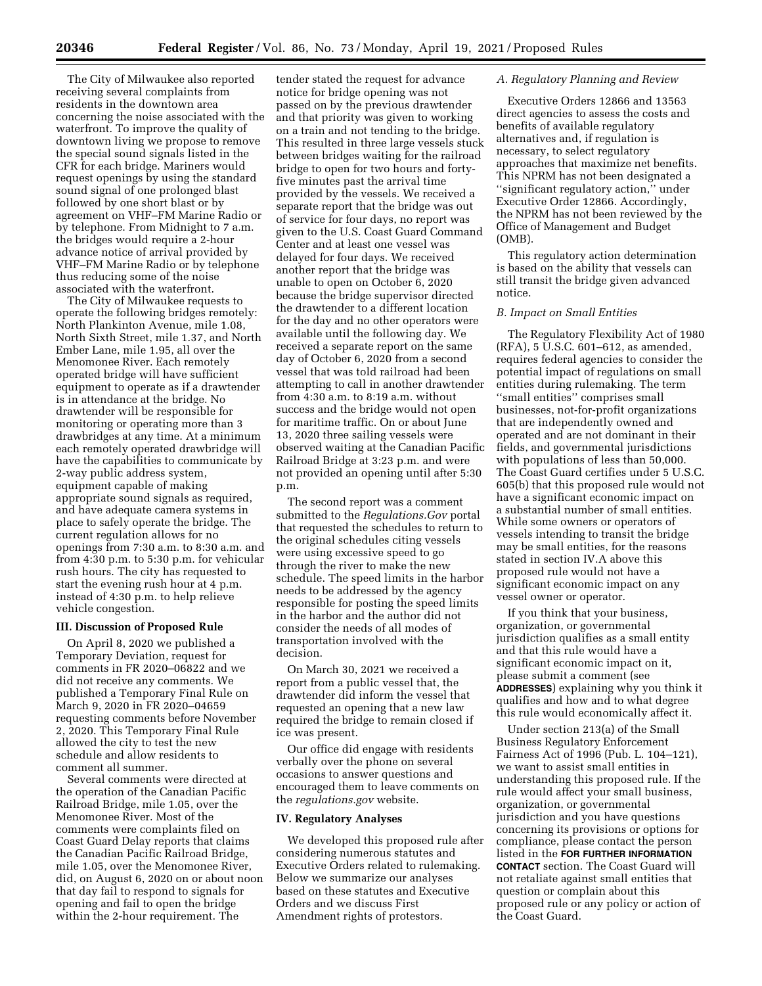The City of Milwaukee also reported receiving several complaints from residents in the downtown area concerning the noise associated with the waterfront. To improve the quality of downtown living we propose to remove the special sound signals listed in the CFR for each bridge. Mariners would request openings by using the standard sound signal of one prolonged blast followed by one short blast or by agreement on VHF–FM Marine Radio or by telephone. From Midnight to 7 a.m. the bridges would require a 2-hour advance notice of arrival provided by VHF–FM Marine Radio or by telephone thus reducing some of the noise associated with the waterfront.

The City of Milwaukee requests to operate the following bridges remotely: North Plankinton Avenue, mile 1.08, North Sixth Street, mile 1.37, and North Ember Lane, mile 1.95, all over the Menomonee River. Each remotely operated bridge will have sufficient equipment to operate as if a drawtender is in attendance at the bridge. No drawtender will be responsible for monitoring or operating more than 3 drawbridges at any time. At a minimum each remotely operated drawbridge will have the capabilities to communicate by 2-way public address system, equipment capable of making appropriate sound signals as required, and have adequate camera systems in place to safely operate the bridge. The current regulation allows for no openings from 7:30 a.m. to 8:30 a.m. and from 4:30 p.m. to 5:30 p.m. for vehicular rush hours. The city has requested to start the evening rush hour at 4 p.m. instead of 4:30 p.m. to help relieve vehicle congestion.

## **III. Discussion of Proposed Rule**

On April 8, 2020 we published a Temporary Deviation, request for comments in FR 2020–06822 and we did not receive any comments. We published a Temporary Final Rule on March 9, 2020 in FR 2020–04659 requesting comments before November 2, 2020. This Temporary Final Rule allowed the city to test the new schedule and allow residents to comment all summer.

Several comments were directed at the operation of the Canadian Pacific Railroad Bridge, mile 1.05, over the Menomonee River. Most of the comments were complaints filed on Coast Guard Delay reports that claims the Canadian Pacific Railroad Bridge, mile 1.05, over the Menomonee River, did, on August 6, 2020 on or about noon that day fail to respond to signals for opening and fail to open the bridge within the 2-hour requirement. The

tender stated the request for advance notice for bridge opening was not passed on by the previous drawtender and that priority was given to working on a train and not tending to the bridge. This resulted in three large vessels stuck between bridges waiting for the railroad bridge to open for two hours and fortyfive minutes past the arrival time provided by the vessels. We received a separate report that the bridge was out of service for four days, no report was given to the U.S. Coast Guard Command Center and at least one vessel was delayed for four days. We received another report that the bridge was unable to open on October 6, 2020 because the bridge supervisor directed the drawtender to a different location for the day and no other operators were available until the following day. We received a separate report on the same day of October 6, 2020 from a second vessel that was told railroad had been attempting to call in another drawtender from 4:30 a.m. to 8:19 a.m. without success and the bridge would not open for maritime traffic. On or about June 13, 2020 three sailing vessels were observed waiting at the Canadian Pacific Railroad Bridge at 3:23 p.m. and were not provided an opening until after 5:30 p.m.

The second report was a comment submitted to the *Regulations.Gov* portal that requested the schedules to return to the original schedules citing vessels were using excessive speed to go through the river to make the new schedule. The speed limits in the harbor needs to be addressed by the agency responsible for posting the speed limits in the harbor and the author did not consider the needs of all modes of transportation involved with the decision.

On March 30, 2021 we received a report from a public vessel that, the drawtender did inform the vessel that requested an opening that a new law required the bridge to remain closed if ice was present.

Our office did engage with residents verbally over the phone on several occasions to answer questions and encouraged them to leave comments on the *regulations.gov* website.

#### **IV. Regulatory Analyses**

We developed this proposed rule after considering numerous statutes and Executive Orders related to rulemaking. Below we summarize our analyses based on these statutes and Executive Orders and we discuss First Amendment rights of protestors.

### *A. Regulatory Planning and Review*

Executive Orders 12866 and 13563 direct agencies to assess the costs and benefits of available regulatory alternatives and, if regulation is necessary, to select regulatory approaches that maximize net benefits. This NPRM has not been designated a ''significant regulatory action,'' under Executive Order 12866. Accordingly, the NPRM has not been reviewed by the Office of Management and Budget (OMB).

This regulatory action determination is based on the ability that vessels can still transit the bridge given advanced notice.

### *B. Impact on Small Entities*

The Regulatory Flexibility Act of 1980 (RFA), 5 U.S.C. 601–612, as amended, requires federal agencies to consider the potential impact of regulations on small entities during rulemaking. The term ''small entities'' comprises small businesses, not-for-profit organizations that are independently owned and operated and are not dominant in their fields, and governmental jurisdictions with populations of less than 50,000. The Coast Guard certifies under 5 U.S.C. 605(b) that this proposed rule would not have a significant economic impact on a substantial number of small entities. While some owners or operators of vessels intending to transit the bridge may be small entities, for the reasons stated in section IV.A above this proposed rule would not have a significant economic impact on any vessel owner or operator.

If you think that your business, organization, or governmental jurisdiction qualifies as a small entity and that this rule would have a significant economic impact on it, please submit a comment (see **ADDRESSES**) explaining why you think it qualifies and how and to what degree this rule would economically affect it.

Under section 213(a) of the Small Business Regulatory Enforcement Fairness Act of 1996 (Pub. L. 104–121), we want to assist small entities in understanding this proposed rule. If the rule would affect your small business, organization, or governmental jurisdiction and you have questions concerning its provisions or options for compliance, please contact the person listed in the **FOR FURTHER INFORMATION CONTACT** section. The Coast Guard will not retaliate against small entities that question or complain about this proposed rule or any policy or action of the Coast Guard.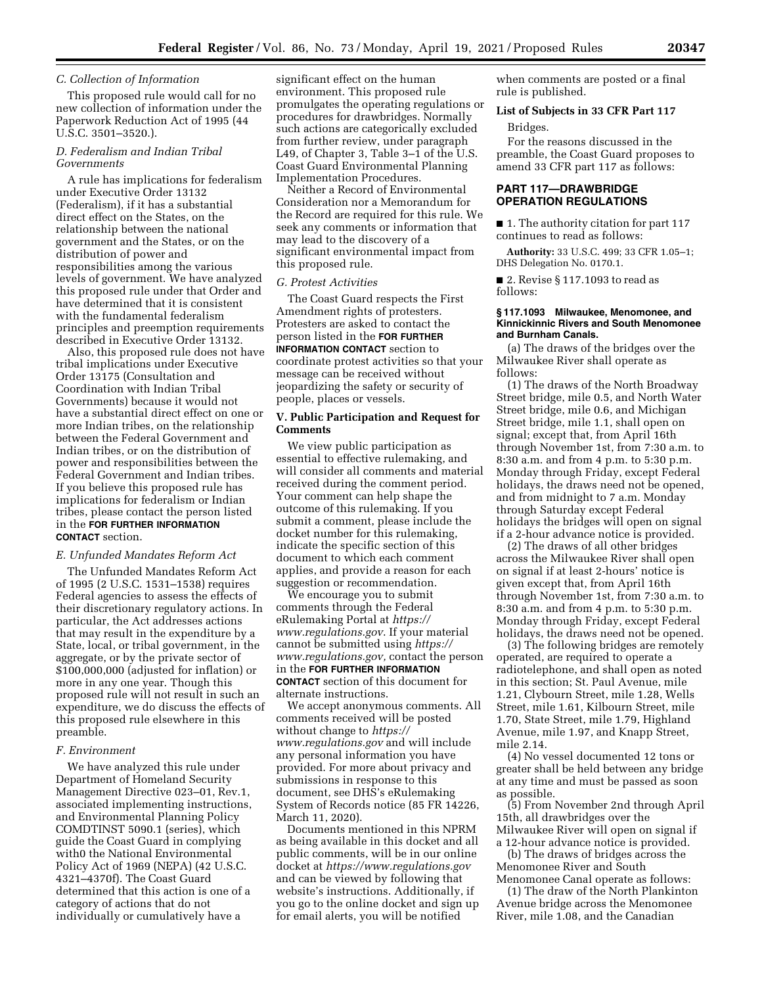## *C. Collection of Information*

This proposed rule would call for no new collection of information under the Paperwork Reduction Act of 1995 (44 U.S.C. 3501–3520.).

## *D. Federalism and Indian Tribal Governments*

A rule has implications for federalism under Executive Order 13132 (Federalism), if it has a substantial direct effect on the States, on the relationship between the national government and the States, or on the distribution of power and responsibilities among the various levels of government. We have analyzed this proposed rule under that Order and have determined that it is consistent with the fundamental federalism principles and preemption requirements described in Executive Order 13132.

Also, this proposed rule does not have tribal implications under Executive Order 13175 (Consultation and Coordination with Indian Tribal Governments) because it would not have a substantial direct effect on one or more Indian tribes, on the relationship between the Federal Government and Indian tribes, or on the distribution of power and responsibilities between the Federal Government and Indian tribes. If you believe this proposed rule has implications for federalism or Indian tribes, please contact the person listed in the **FOR FURTHER INFORMATION CONTACT** section.

### *E. Unfunded Mandates Reform Act*

The Unfunded Mandates Reform Act of 1995 (2 U.S.C. 1531–1538) requires Federal agencies to assess the effects of their discretionary regulatory actions. In particular, the Act addresses actions that may result in the expenditure by a State, local, or tribal government, in the aggregate, or by the private sector of \$100,000,000 (adjusted for inflation) or more in any one year. Though this proposed rule will not result in such an expenditure, we do discuss the effects of this proposed rule elsewhere in this preamble.

### *F. Environment*

We have analyzed this rule under Department of Homeland Security Management Directive 023–01, Rev.1, associated implementing instructions, and Environmental Planning Policy COMDTINST 5090.1 (series), which guide the Coast Guard in complying with0 the National Environmental Policy Act of 1969 (NEPA) (42 U.S.C. 4321–4370f). The Coast Guard determined that this action is one of a category of actions that do not individually or cumulatively have a

significant effect on the human environment. This proposed rule promulgates the operating regulations or procedures for drawbridges. Normally such actions are categorically excluded from further review, under paragraph L49, of Chapter 3, Table 3–1 of the U.S. Coast Guard Environmental Planning Implementation Procedures.

Neither a Record of Environmental Consideration nor a Memorandum for the Record are required for this rule. We seek any comments or information that may lead to the discovery of a significant environmental impact from this proposed rule.

#### *G. Protest Activities*

The Coast Guard respects the First Amendment rights of protesters. Protesters are asked to contact the person listed in the **FOR FURTHER INFORMATION CONTACT** section to coordinate protest activities so that your message can be received without jeopardizing the safety or security of people, places or vessels.

## **V. Public Participation and Request for Comments**

We view public participation as essential to effective rulemaking, and will consider all comments and material received during the comment period. Your comment can help shape the outcome of this rulemaking. If you submit a comment, please include the docket number for this rulemaking, indicate the specific section of this document to which each comment applies, and provide a reason for each suggestion or recommendation.

We encourage you to submit comments through the Federal eRulemaking Portal at *[https://](https://www.regulations.gov) [www.regulations.gov](https://www.regulations.gov)*. If your material cannot be submitted using *[https://](https://www.regulations.gov) [www.regulations.gov,](https://www.regulations.gov)* contact the person in the **FOR FURTHER INFORMATION CONTACT** section of this document for alternate instructions.

We accept anonymous comments. All comments received will be posted without change to *[https://](https://www.regulations.gov) [www.regulations.gov](https://www.regulations.gov)* and will include any personal information you have provided. For more about privacy and submissions in response to this document, see DHS's eRulemaking System of Records notice (85 FR 14226, March 11, 2020).

Documents mentioned in this NPRM as being available in this docket and all public comments, will be in our online docket at *<https://www.regulations.gov>*  and can be viewed by following that website's instructions. Additionally, if you go to the online docket and sign up for email alerts, you will be notified

when comments are posted or a final rule is published.

#### **List of Subjects in 33 CFR Part 117**

#### Bridges.

For the reasons discussed in the preamble, the Coast Guard proposes to amend 33 CFR part 117 as follows:

# **PART 117—DRAWBRIDGE OPERATION REGULATIONS**

■ 1. The authority citation for part 117 continues to read as follows:

**Authority:** 33 U.S.C. 499; 33 CFR 1.05–1; DHS Delegation No. 0170.1.

■ 2. Revise § 117.1093 to read as follows:

#### **§ 117.1093 Milwaukee, Menomonee, and Kinnickinnic Rivers and South Menomonee and Burnham Canals.**

(a) The draws of the bridges over the Milwaukee River shall operate as follows:

(1) The draws of the North Broadway Street bridge, mile 0.5, and North Water Street bridge, mile 0.6, and Michigan Street bridge, mile 1.1, shall open on signal; except that, from April 16th through November 1st, from 7:30 a.m. to 8:30 a.m. and from 4 p.m. to 5:30 p.m. Monday through Friday, except Federal holidays, the draws need not be opened, and from midnight to 7 a.m. Monday through Saturday except Federal holidays the bridges will open on signal if a 2-hour advance notice is provided.

(2) The draws of all other bridges across the Milwaukee River shall open on signal if at least 2-hours' notice is given except that, from April 16th through November 1st, from 7:30 a.m. to 8:30 a.m. and from 4 p.m. to 5:30 p.m. Monday through Friday, except Federal holidays, the draws need not be opened.

(3) The following bridges are remotely operated, are required to operate a radiotelephone, and shall open as noted in this section; St. Paul Avenue, mile 1.21, Clybourn Street, mile 1.28, Wells Street, mile 1.61, Kilbourn Street, mile 1.70, State Street, mile 1.79, Highland Avenue, mile 1.97, and Knapp Street, mile 2.14.

(4) No vessel documented 12 tons or greater shall be held between any bridge at any time and must be passed as soon as possible.

(5) From November 2nd through April 15th, all drawbridges over the Milwaukee River will open on signal if a 12-hour advance notice is provided.

(b) The draws of bridges across the Menomonee River and South Menomonee Canal operate as follows:

(1) The draw of the North Plankinton Avenue bridge across the Menomonee River, mile 1.08, and the Canadian